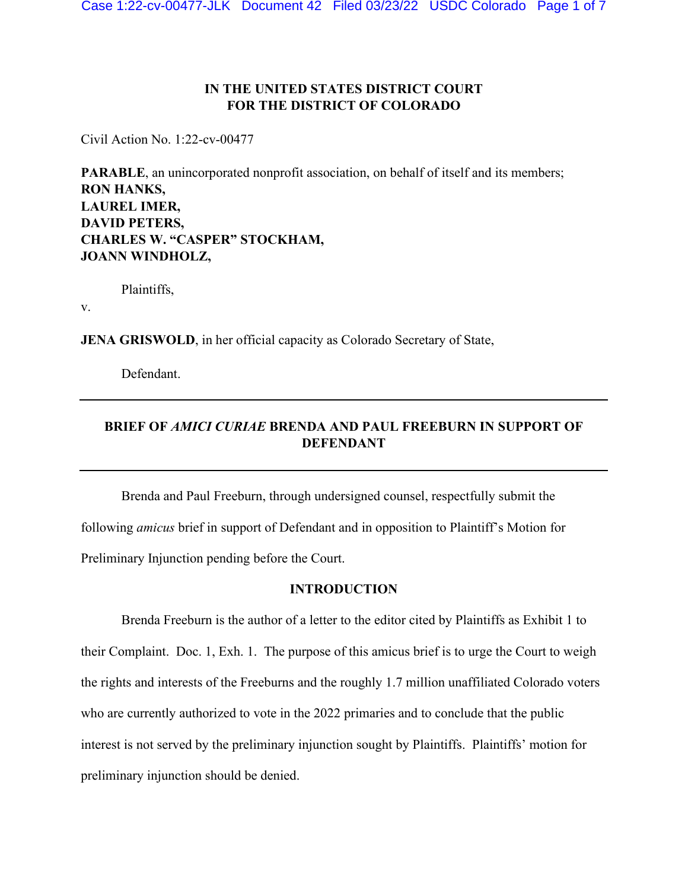## **IN THE UNITED STATES DISTRICT COURT FOR THE DISTRICT OF COLORADO**

Civil Action No. 1:22-cv-00477

**PARABLE**, an unincorporated nonprofit association, on behalf of itself and its members; **RON HANKS, LAUREL IMER, DAVID PETERS, CHARLES W. "CASPER" STOCKHAM, JOANN WINDHOLZ,**

Plaintiffs,

v.

**JENA GRISWOLD**, in her official capacity as Colorado Secretary of State,

Defendant.

# **BRIEF OF** *AMICI CURIAE* **BRENDA AND PAUL FREEBURN IN SUPPORT OF DEFENDANT**

Brenda and Paul Freeburn, through undersigned counsel, respectfully submit the following *amicus* brief in support of Defendant and in opposition to Plaintiff's Motion for Preliminary Injunction pending before the Court.

### **INTRODUCTION**

Brenda Freeburn is the author of a letter to the editor cited by Plaintiffs as Exhibit 1 to their Complaint. Doc. 1, Exh. 1. The purpose of this amicus brief is to urge the Court to weigh the rights and interests of the Freeburns and the roughly 1.7 million unaffiliated Colorado voters who are currently authorized to vote in the 2022 primaries and to conclude that the public interest is not served by the preliminary injunction sought by Plaintiffs. Plaintiffs' motion for preliminary injunction should be denied.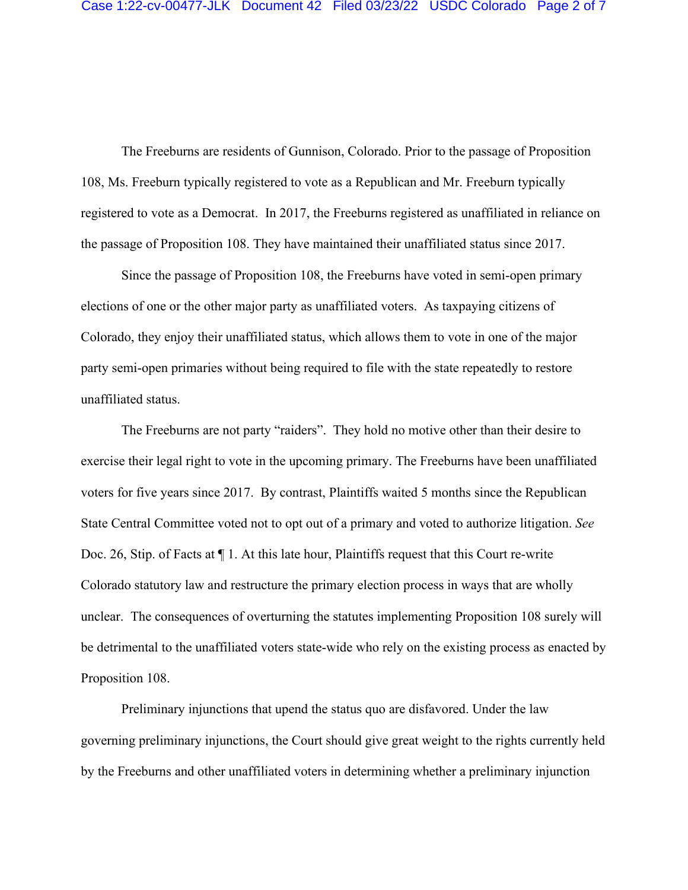The Freeburns are residents of Gunnison, Colorado. Prior to the passage of Proposition 108, Ms. Freeburn typically registered to vote as a Republican and Mr. Freeburn typically registered to vote as a Democrat. In 2017, the Freeburns registered as unaffiliated in reliance on the passage of Proposition 108. They have maintained their unaffiliated status since 2017.

Since the passage of Proposition 108, the Freeburns have voted in semi-open primary elections of one or the other major party as unaffiliated voters. As taxpaying citizens of Colorado, they enjoy their unaffiliated status, which allows them to vote in one of the major party semi-open primaries without being required to file with the state repeatedly to restore unaffiliated status.

The Freeburns are not party "raiders". They hold no motive other than their desire to exercise their legal right to vote in the upcoming primary. The Freeburns have been unaffiliated voters for five years since 2017. By contrast, Plaintiffs waited 5 months since the Republican State Central Committee voted not to opt out of a primary and voted to authorize litigation. *See*  Doc. 26, Stip. of Facts at ¶ 1. At this late hour, Plaintiffs request that this Court re-write Colorado statutory law and restructure the primary election process in ways that are wholly unclear. The consequences of overturning the statutes implementing Proposition 108 surely will be detrimental to the unaffiliated voters state-wide who rely on the existing process as enacted by Proposition 108.

Preliminary injunctions that upend the status quo are disfavored. Under the law governing preliminary injunctions, the Court should give great weight to the rights currently held by the Freeburns and other unaffiliated voters in determining whether a preliminary injunction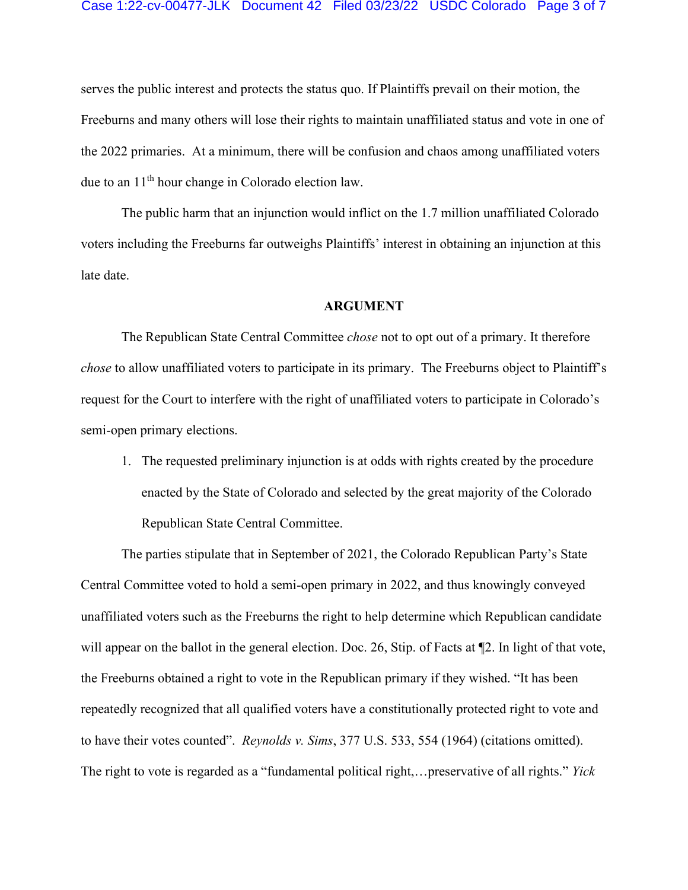#### Case 1:22-cv-00477-JLK Document 42 Filed 03/23/22 USDC Colorado Page 3 of 7

serves the public interest and protects the status quo. If Plaintiffs prevail on their motion, the Freeburns and many others will lose their rights to maintain unaffiliated status and vote in one of the 2022 primaries. At a minimum, there will be confusion and chaos among unaffiliated voters due to an 11th hour change in Colorado election law.

The public harm that an injunction would inflict on the 1.7 million unaffiliated Colorado voters including the Freeburns far outweighs Plaintiffs' interest in obtaining an injunction at this late date.

### **ARGUMENT**

The Republican State Central Committee *chose* not to opt out of a primary. It therefore *chose* to allow unaffiliated voters to participate in its primary. The Freeburns object to Plaintiff's request for the Court to interfere with the right of unaffiliated voters to participate in Colorado's semi-open primary elections.

1. The requested preliminary injunction is at odds with rights created by the procedure enacted by the State of Colorado and selected by the great majority of the Colorado Republican State Central Committee.

The parties stipulate that in September of 2021, the Colorado Republican Party's State Central Committee voted to hold a semi-open primary in 2022, and thus knowingly conveyed unaffiliated voters such as the Freeburns the right to help determine which Republican candidate will appear on the ballot in the general election. Doc. 26, Stip. of Facts at  $\mathbb{Z}$ . In light of that vote, the Freeburns obtained a right to vote in the Republican primary if they wished. "It has been repeatedly recognized that all qualified voters have a constitutionally protected right to vote and to have their votes counted". *Reynolds v. Sims*, 377 U.S. 533, 554 (1964) (citations omitted). The right to vote is regarded as a "fundamental political right,…preservative of all rights." *Yick*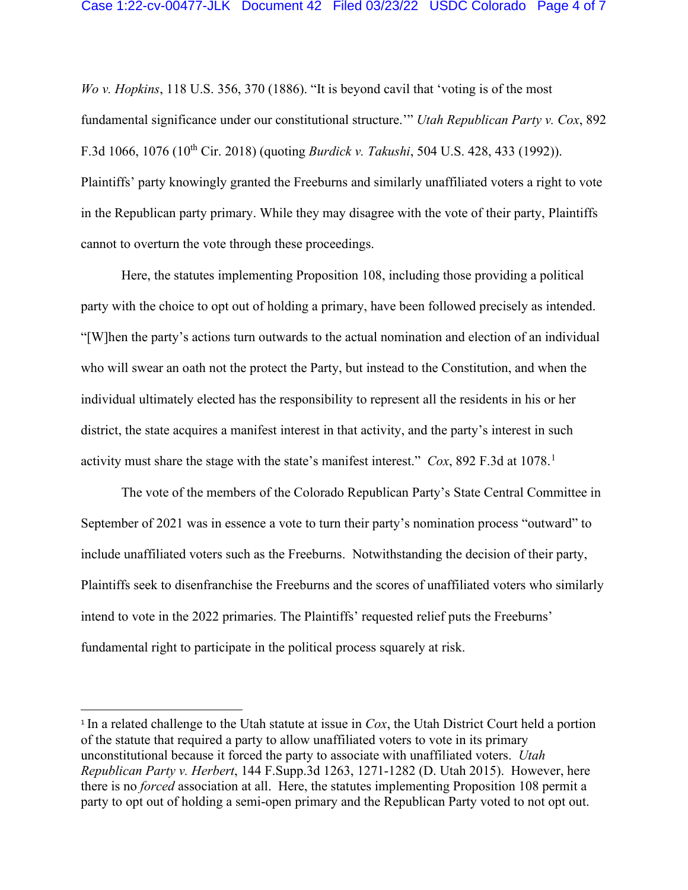*Wo v. Hopkins*, 118 U.S. 356, 370 (1886). "It is beyond cavil that 'voting is of the most fundamental significance under our constitutional structure.'" *Utah Republican Party v. Cox*, 892 F.3d 1066, 1076 (10th Cir. 2018) (quoting *Burdick v. Takushi*, 504 U.S. 428, 433 (1992)). Plaintiffs' party knowingly granted the Freeburns and similarly unaffiliated voters a right to vote in the Republican party primary. While they may disagree with the vote of their party, Plaintiffs cannot to overturn the vote through these proceedings.

Here, the statutes implementing Proposition 108, including those providing a political party with the choice to opt out of holding a primary, have been followed precisely as intended. "[W]hen the party's actions turn outwards to the actual nomination and election of an individual who will swear an oath not the protect the Party, but instead to the Constitution, and when the individual ultimately elected has the responsibility to represent all the residents in his or her district, the state acquires a manifest interest in that activity, and the party's interest in such activity must share the stage with the state's manifest interest." *Cox*, 892 F.3d at [1](#page-3-0)078.<sup>1</sup>

The vote of the members of the Colorado Republican Party's State Central Committee in September of 2021 was in essence a vote to turn their party's nomination process "outward" to include unaffiliated voters such as the Freeburns. Notwithstanding the decision of their party, Plaintiffs seek to disenfranchise the Freeburns and the scores of unaffiliated voters who similarly intend to vote in the 2022 primaries. The Plaintiffs' requested relief puts the Freeburns' fundamental right to participate in the political process squarely at risk.

<span id="page-3-0"></span><sup>1</sup> In a related challenge to the Utah statute at issue in *Cox*, the Utah District Court held a portion of the statute that required a party to allow unaffiliated voters to vote in its primary unconstitutional because it forced the party to associate with unaffiliated voters. *Utah Republican Party v. Herbert*, 144 F.Supp.3d 1263, 1271-1282 (D. Utah 2015). However, here there is no *forced* association at all. Here, the statutes implementing Proposition 108 permit a party to opt out of holding a semi-open primary and the Republican Party voted to not opt out.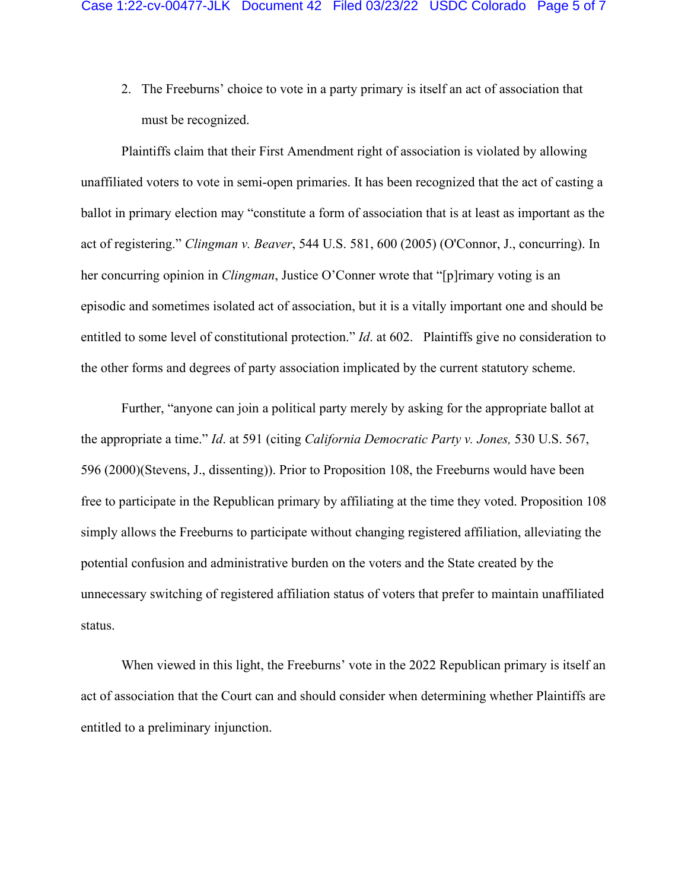2. The Freeburns' choice to vote in a party primary is itself an act of association that must be recognized.

Plaintiffs claim that their First Amendment right of association is violated by allowing unaffiliated voters to vote in semi-open primaries. It has been recognized that the act of casting a ballot in primary election may "constitute a form of association that is at least as important as the act of registering." *Clingman v. Beaver*, 544 U.S. 581, 600 (2005) (O'Connor, J., concurring). In her concurring opinion in *Clingman*, Justice O'Conner wrote that "[p]rimary voting is an episodic and sometimes isolated act of association, but it is a vitally important one and should be entitled to some level of constitutional protection." *Id*. at 602. Plaintiffs give no consideration to the other forms and degrees of party association implicated by the current statutory scheme.

Further, "anyone can join a political party merely by asking for the appropriate ballot at the appropriate a time." *Id*. at 591 (citing *California Democratic Party v. Jones,* 530 U.S. 567, 596 (2000)(Stevens, J., dissenting)). Prior to Proposition 108, the Freeburns would have been free to participate in the Republican primary by affiliating at the time they voted. Proposition 108 simply allows the Freeburns to participate without changing registered affiliation, alleviating the potential confusion and administrative burden on the voters and the State created by the unnecessary switching of registered affiliation status of voters that prefer to maintain unaffiliated status.

When viewed in this light, the Freeburns' vote in the 2022 Republican primary is itself an act of association that the Court can and should consider when determining whether Plaintiffs are entitled to a preliminary injunction.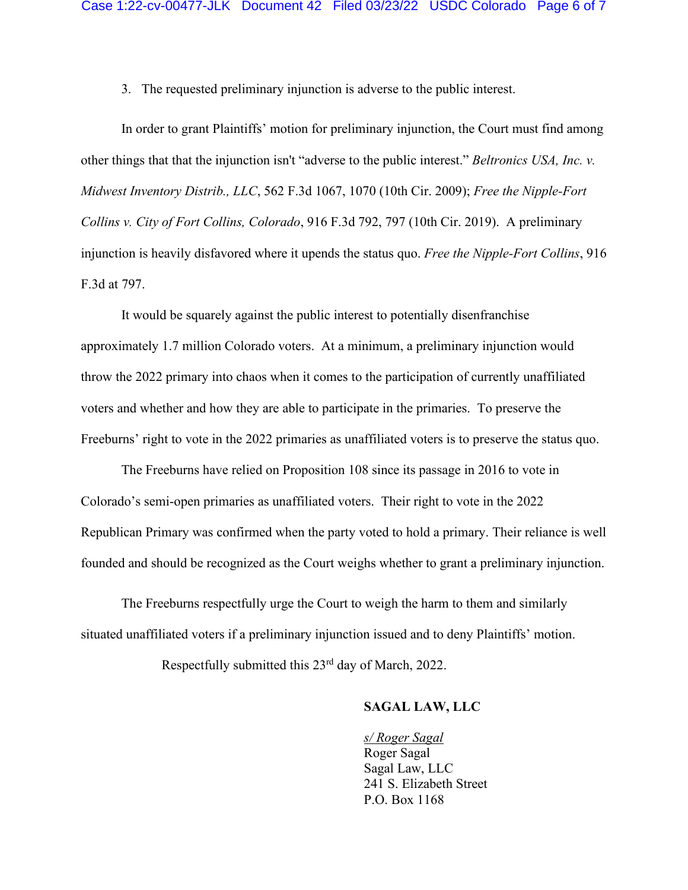3. The requested preliminary injunction is adverse to the public interest.

In order to grant Plaintiffs' motion for preliminary injunction, the Court must find among other things that that the injunction isn't "adverse to the public interest." *Beltronics USA, Inc. v. Midwest Inventory Distrib., LLC*, 562 F.3d 1067, 1070 (10th Cir. 2009); *Free the Nipple-Fort Collins v. City of Fort Collins, Colorado*, 916 F.3d 792, 797 (10th Cir. 2019). A preliminary injunction is heavily disfavored where it upends the status quo. *Free the Nipple-Fort Collins*, 916 F.3d at 797.

It would be squarely against the public interest to potentially disenfranchise approximately 1.7 million Colorado voters. At a minimum, a preliminary injunction would throw the 2022 primary into chaos when it comes to the participation of currently unaffiliated voters and whether and how they are able to participate in the primaries. To preserve the Freeburns' right to vote in the 2022 primaries as unaffiliated voters is to preserve the status quo.

The Freeburns have relied on Proposition 108 since its passage in 2016 to vote in Colorado's semi-open primaries as unaffiliated voters. Their right to vote in the 2022 Republican Primary was confirmed when the party voted to hold a primary. Their reliance is well founded and should be recognized as the Court weighs whether to grant a preliminary injunction.

The Freeburns respectfully urge the Court to weigh the harm to them and similarly situated unaffiliated voters if a preliminary injunction issued and to deny Plaintiffs' motion.

Respectfully submitted this 23rd day of March, 2022.

### **SAGAL LAW, LLC**

*s/ Roger Sagal*  Roger Sagal Sagal Law, LLC 241 S. Elizabeth Street P.O. Box 1168